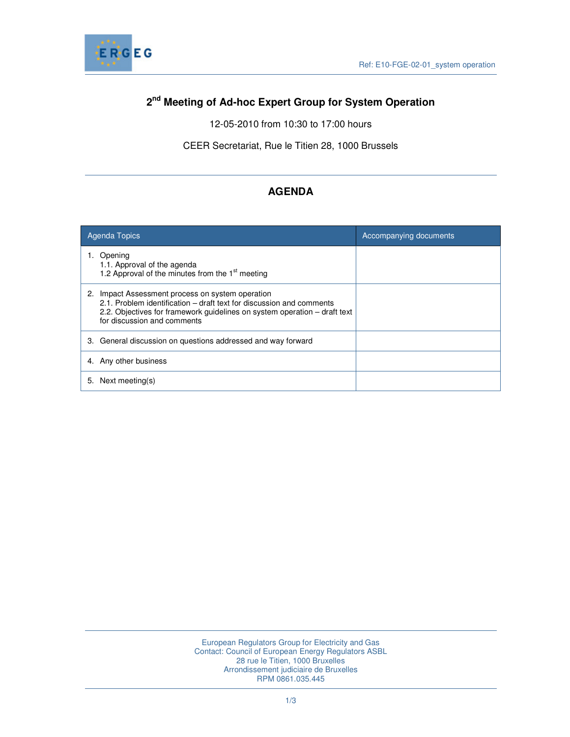

# **2 nd Meeting of Ad-hoc Expert Group for System Operation**

12-05-2010 from 10:30 to 17:00 hours

CEER Secretariat, Rue le Titien 28, 1000 Brussels

# **AGENDA**

| <b>Agenda Topics</b>                                                                                                                                                                                                                 | Accompanying documents |
|--------------------------------------------------------------------------------------------------------------------------------------------------------------------------------------------------------------------------------------|------------------------|
| Opening<br>1.1. Approval of the agenda<br>1.2 Approval of the minutes from the 1 <sup>st</sup> meeting                                                                                                                               |                        |
| 2. Impact Assessment process on system operation<br>2.1. Problem identification – draft text for discussion and comments<br>2.2. Objectives for framework guidelines on system operation – draft text<br>for discussion and comments |                        |
| 3. General discussion on questions addressed and way forward                                                                                                                                                                         |                        |
| 4. Any other business                                                                                                                                                                                                                |                        |
| Next meeting(s)<br>5.                                                                                                                                                                                                                |                        |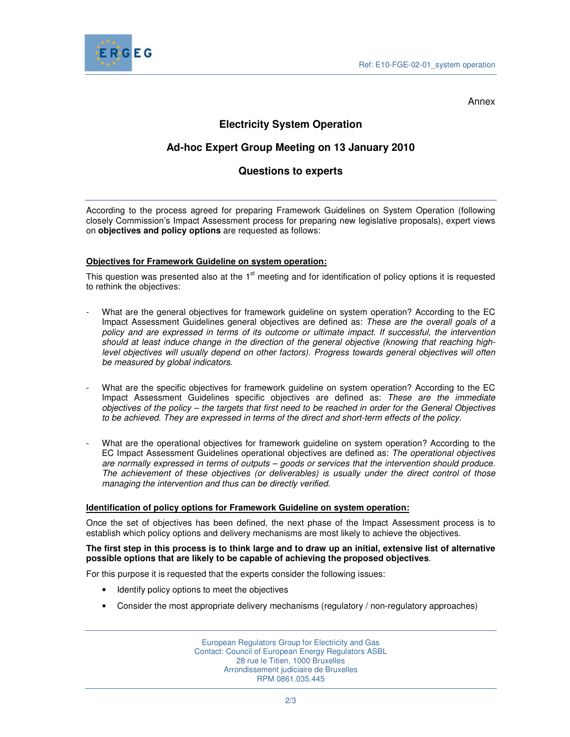

Annex

## **Electricity System Operation**

## **Ad-hoc Expert Group Meeting on 13 January 2010**

## **Questions to experts**

According to the process agreed for preparing Framework Guidelines on System Operation (following closely Commission's Impact Assessment process for preparing new legislative proposals), expert views on **objectives and policy options** are requested as follows:

### **Objectives for Framework Guideline on system operation:**

This question was presented also at the 1<sup>st</sup> meeting and for identification of policy options it is requested to rethink the objectives:

- What are the general objectives for framework guideline on system operation? According to the EC Impact Assessment Guidelines general objectives are defined as: These are the overall goals of a policy and are expressed in terms of its outcome or ultimate impact. If successful, the intervention should at least induce change in the direction of the general objective (knowing that reaching highlevel objectives will usually depend on other factors). Progress towards general objectives will often be measured by global indicators.
- What are the specific objectives for framework guideline on system operation? According to the EC Impact Assessment Guidelines specific objectives are defined as: These are the immediate objectives of the policy – the targets that first need to be reached in order for the General Objectives to be achieved. They are expressed in terms of the direct and short-term effects of the policy.
- What are the operational objectives for framework guideline on system operation? According to the EC Impact Assessment Guidelines operational objectives are defined as: The operational objectives are normally expressed in terms of outputs – goods or services that the intervention should produce. The achievement of these objectives (or deliverables) is usually under the direct control of those managing the intervention and thus can be directly verified.

#### **Identification of policy options for Framework Guideline on system operation:**

Once the set of objectives has been defined, the next phase of the Impact Assessment process is to establish which policy options and delivery mechanisms are most likely to achieve the objectives.

#### **The first step in this process is to think large and to draw up an initial, extensive list of alternative possible options that are likely to be capable of achieving the proposed objectives**.

For this purpose it is requested that the experts consider the following issues:

- Identify policy options to meet the objectives
- Consider the most appropriate delivery mechanisms (regulatory / non-regulatory approaches)

European Regulators Group for Electricity and Gas Contact: Council of European Energy Regulators ASBL 28 rue le Titien, 1000 Bruxelles Arrondissement judiciaire de Bruxelles RPM 0861.035.445